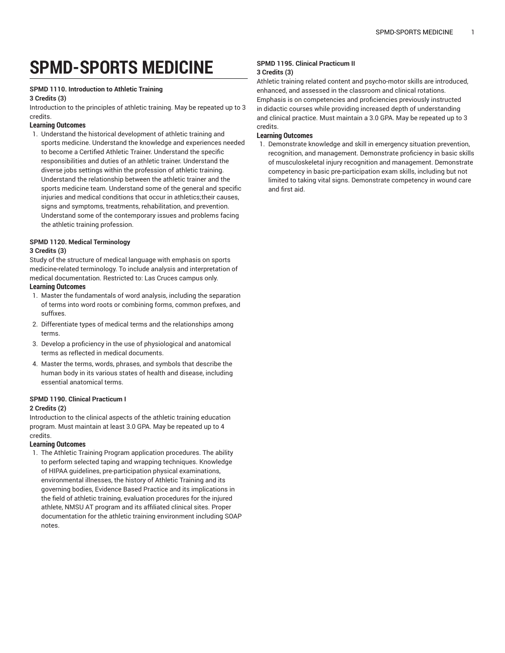# **SPMD-SPORTS MEDICINE**

#### **SPMD 1110. Introduction to Athletic Training**

#### **3 Credits (3)**

Introduction to the principles of athletic training. May be repeated up to 3 credits.

## **Learning Outcomes**

1. Understand the historical development of athletic training and sports medicine. Understand the knowledge and experiences needed to become a Certified Athletic Trainer. Understand the specific responsibilities and duties of an athletic trainer. Understand the diverse jobs settings within the profession of athletic training. Understand the relationship between the athletic trainer and the sports medicine team. Understand some of the general and specific injuries and medical conditions that occur in athletics;their causes, signs and symptoms, treatments, rehabilitation, and prevention. Understand some of the contemporary issues and problems facing the athletic training profession.

### **SPMD 1120. Medical Terminology**

## **3 Credits (3)**

Study of the structure of medical language with emphasis on sports medicine-related terminology. To include analysis and interpretation of medical documentation. Restricted to: Las Cruces campus only.

## **Learning Outcomes**

- 1. Master the fundamentals of word analysis, including the separation of terms into word roots or combining forms, common prefixes, and suffixes.
- 2. Differentiate types of medical terms and the relationships among terms.
- 3. Develop a proficiency in the use of physiological and anatomical terms as reflected in medical documents.
- 4. Master the terms, words, phrases, and symbols that describe the human body in its various states of health and disease, including essential anatomical terms.

## **SPMD 1190. Clinical Practicum I**

## **2 Credits (2)**

Introduction to the clinical aspects of the athletic training education program. Must maintain at least 3.0 GPA. May be repeated up to 4 credits.

## **Learning Outcomes**

1. The Athletic Training Program application procedures. The ability to perform selected taping and wrapping techniques. Knowledge of HIPAA guidelines, pre-participation physical examinations, environmental illnesses, the history of Athletic Training and its governing bodies, Evidence Based Practice and its implications in the field of athletic training, evaluation procedures for the injured athlete, NMSU AT program and its affiliated clinical sites. Proper documentation for the athletic training environment including SOAP notes.

#### **SPMD 1195. Clinical Practicum II 3 Credits (3)**

Athletic training related content and psycho-motor skills are introduced, enhanced, and assessed in the classroom and clinical rotations. Emphasis is on competencies and proficiencies previously instructed in didactic courses while providing increased depth of understanding and clinical practice. Must maintain a 3.0 GPA. May be repeated up to 3 credits.

## **Learning Outcomes**

1. Demonstrate knowledge and skill in emergency situation prevention, recognition, and management. Demonstrate proficiency in basic skills of musculoskeletal injury recognition and management. Demonstrate competency in basic pre-participation exam skills, including but not limited to taking vital signs. Demonstrate competency in wound care and first aid.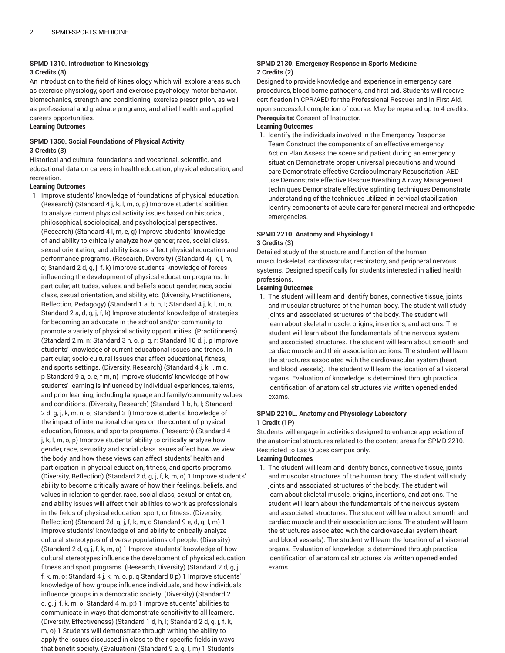# **SPMD 1310. Introduction to Kinesiology**

#### **3 Credits (3)**

An introduction to the field of Kinesiology which will explore areas such as exercise physiology, sport and exercise psychology, motor behavior, biomechanics, strength and conditioning, exercise prescription, as well as professional and graduate programs, and allied health and applied careers opportunities.

## **Learning Outcomes**

## **SPMD 1350. Social Foundations of Physical Activity 3 Credits (3)**

Historical and cultural foundations and vocational, scientific, and educational data on careers in health education, physical education, and recreation.

### **Learning Outcomes**

1. Improve students' knowledge of foundations of physical education. (Research) (Standard 4 j, k, l, m, o, p) Improve students' abilities to analyze current physical activity issues based on historical, philosophical, sociological, and psychological perspectives. (Research) (Standard 4 l, m, e, g) Improve students' knowledge of and ability to critically analyze how gender, race, social class, sexual orientation, and ability issues affect physical education and performance programs. (Research, Diversity) (Standard 4j, k, l, m, o; Standard 2 d, g, j, f, k) Improve students' knowledge of forces influencing the development of physical education programs. In particular, attitudes, values, and beliefs about gender, race, social class, sexual orientation, and ability, etc. (Diversity, Practitioners, Reflection, Pedagogy) (Standard 1 a, b, h, I; Standard 4 j, k, l, m, o; Standard 2 a, d, g, j, f, k) Improve students' knowledge of strategies for becoming an advocate in the school and/or community to promote a variety of physical activity opportunities. (Practitioners) (Standard 2 m, n; Standard 3 n, o, p, q, r; Standard 10 d, j, p Improve students' knowledge of current educational issues and trends. In particular, socio-cultural issues that affect educational, fitness, and sports settings. (Diversity, Research) (Standard 4 j, k, l, m,o, p Standard 9 a, c, e, f m, n) Improve students' knowledge of how students' learning is influenced by individual experiences, talents, and prior learning, including language and family/community values and conditions. (Diversity, Research) (Standard 1 b, h, I; Standard 2 d, g, j, k, m, n, o; Standard 3 l) Improve students' knowledge of the impact of international changes on the content of physical education, fitness, and sports programs. (Research) (Standard 4 j, k, l, m, o, p) Improve students' ability to critically analyze how gender, race, sexuality and social class issues affect how we view the body, and how these views can affect students' health and participation in physical education, fitness, and sports programs. (Diversity, Reflection) (Standard 2 d, g, j, f, k, m, o) 1 Improve students' ability to become critically aware of how their feelings, beliefs, and values in relation to gender, race, social class, sexual orientation, and ability issues will affect their abilities to work as professionals in the fields of physical education, sport, or fitness. (Diversity, Reflection) (Standard 2d, g, j, f, k, m, o Standard 9 e, d, g, I, m) 1 Improve students' knowledge of and ability to critically analyze cultural stereotypes of diverse populations of people. (Diversity) (Standard 2 d, g, j, f, k, m, o) 1 Improve students' knowledge of how cultural stereotypes influence the development of physical education, fitness and sport programs. (Research, Diversity) (Standard 2 d, g, j, f, k, m, o; Standard 4 j, k, m, o, p, q Standard 8 p) 1 Improve students' knowledge of how groups influence individuals, and how individuals influence groups in a democratic society. (Diversity) (Standard 2 d, g, j, f, k, m, o; Standard 4 m, p;) 1 Improve students' abilities to communicate in ways that demonstrate sensitivity to all learners. (Diversity, Effectiveness) (Standard 1 d, h, I; Standard 2 d, g, j, f, k, m, o) 1 Students will demonstrate through writing the ability to apply the issues discussed in class to their specific fields in ways that benefit society. (Evaluation) (Standard 9 e, g, I, m) 1 Students

#### **SPMD 2130. Emergency Response in Sports Medicine 2 Credits (2)**

Designed to provide knowledge and experience in emergency care procedures, blood borne pathogens, and first aid. Students will receive certification in CPR/AED for the Professional Rescuer and in First Aid, upon successful completion of course. May be repeated up to 4 credits. **Prerequisite:** Consent of Instructor.

### **Learning Outcomes**

1. Identify the individuals involved in the Emergency Response Team Construct the components of an effective emergency Action Plan Assess the scene and patient during an emergency situation Demonstrate proper universal precautions and wound care Demonstrate effective Cardiopulmonary Resuscitation, AED use Demonstrate effective Rescue Breathing Airway Management techniques Demonstrate effective splinting techniques Demonstrate understanding of the techniques utilized in cervical stabilization Identify components of acute care for general medical and orthopedic emergencies.

#### **SPMD 2210. Anatomy and Physiology I 3 Credits (3)**

Detailed study of the structure and function of the human musculoskeletal, cardiovascular, respiratory, and peripheral nervous systems. Designed specifically for students interested in allied health professions.

## **Learning Outcomes**

1. The student will learn and identify bones, connective tissue, joints and muscular structures of the human body. The student will study joints and associated structures of the body. The student will learn about skeletal muscle, origins, insertions, and actions. The student will learn about the fundamentals of the nervous system and associated structures. The student will learn about smooth and cardiac muscle and their association actions. The student will learn the structures associated with the cardiovascular system (heart and blood vessels). The student will learn the location of all visceral organs. Evaluation of knowledge is determined through practical identification of anatomical structures via written opened ended exams.

## **SPMD 2210L. Anatomy and Physiology Laboratory 1 Credit (1P)**

Students will engage in activities designed to enhance appreciation of the anatomical structures related to the content areas for SPMD 2210. Restricted to Las Cruces campus only.

## **Learning Outcomes**

1. The student will learn and identify bones, connective tissue, joints and muscular structures of the human body. The student will study joints and associated structures of the body. The student will learn about skeletal muscle, origins, insertions, and actions. The student will learn about the fundamentals of the nervous system and associated structures. The student will learn about smooth and cardiac muscle and their association actions. The student will learn the structures associated with the cardiovascular system (heart and blood vessels). The student will learn the location of all visceral organs. Evaluation of knowledge is determined through practical identification of anatomical structures via written opened ended exams.